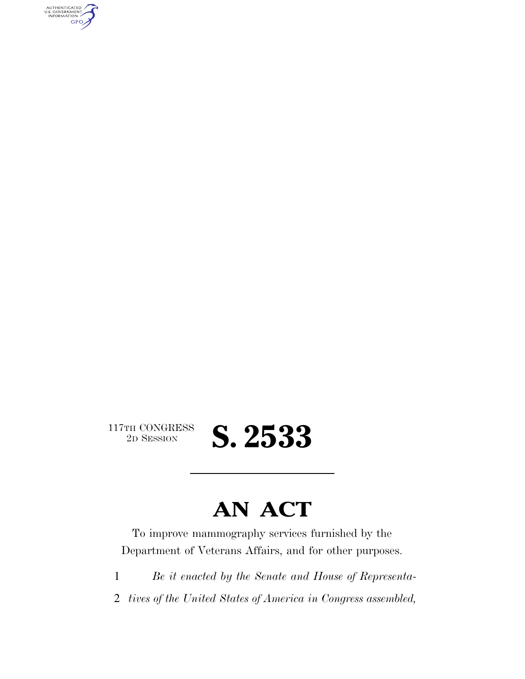AUTHENTICATED<br>U.S. GOVERNMENT<br>INFORMATION GPO

117TH CONGRESS<br>2D SESSION

## **AN ACT**

2D SESSION **S. 2533** 

To improve mammography services furnished by the Department of Veterans Affairs, and for other purposes.

1 *Be it enacted by the Senate and House of Representa-*

2 *tives of the United States of America in Congress assembled,*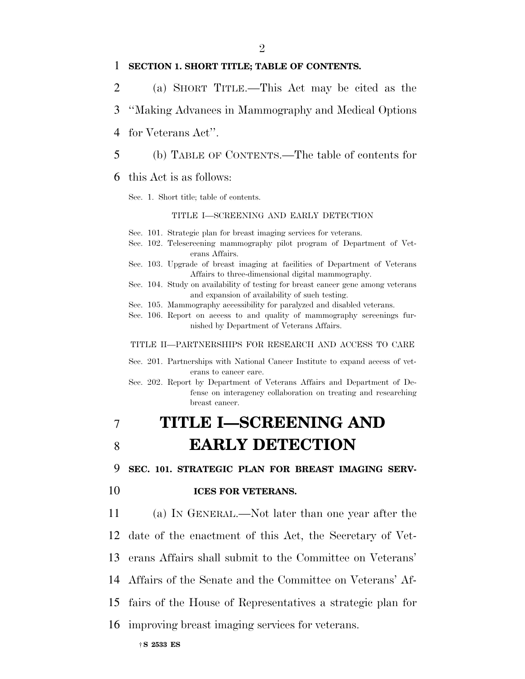#### 1 **SECTION 1. SHORT TITLE; TABLE OF CONTENTS.**

- 2 (a) SHORT TITLE.—This Act may be cited as the
- 3 ''Making Advances in Mammography and Medical Options
- 4 for Veterans Act''.
- 5 (b) TABLE OF CONTENTS.—The table of contents for

#### 6 this Act is as follows:

Sec. 1. Short title; table of contents.

#### TITLE I—SCREENING AND EARLY DETECTION

- Sec. 101. Strategic plan for breast imaging services for veterans.
- Sec. 102. Telescreening mammography pilot program of Department of Veterans Affairs.
- Sec. 103. Upgrade of breast imaging at facilities of Department of Veterans Affairs to three-dimensional digital mammography.
- Sec. 104. Study on availability of testing for breast cancer gene among veterans and expansion of availability of such testing.
- Sec. 105. Mammography accessibility for paralyzed and disabled veterans.
- Sec. 106. Report on access to and quality of mammography screenings furnished by Department of Veterans Affairs.

#### TITLE II—PARTNERSHIPS FOR RESEARCH AND ACCESS TO CARE

- Sec. 201. Partnerships with National Cancer Institute to expand access of veterans to cancer care.
- Sec. 202. Report by Department of Veterans Affairs and Department of Defense on interagency collaboration on treating and researching breast cancer.

## 7 **TITLE I—SCREENING AND**  8 **EARLY DETECTION**

9 **SEC. 101. STRATEGIC PLAN FOR BREAST IMAGING SERV-**

#### 10 **ICES FOR VETERANS.**

 (a) IN GENERAL.—Not later than one year after the date of the enactment of this Act, the Secretary of Vet- erans Affairs shall submit to the Committee on Veterans' Affairs of the Senate and the Committee on Veterans' Af-

- 15 fairs of the House of Representatives a strategic plan for
- 16 improving breast imaging services for veterans.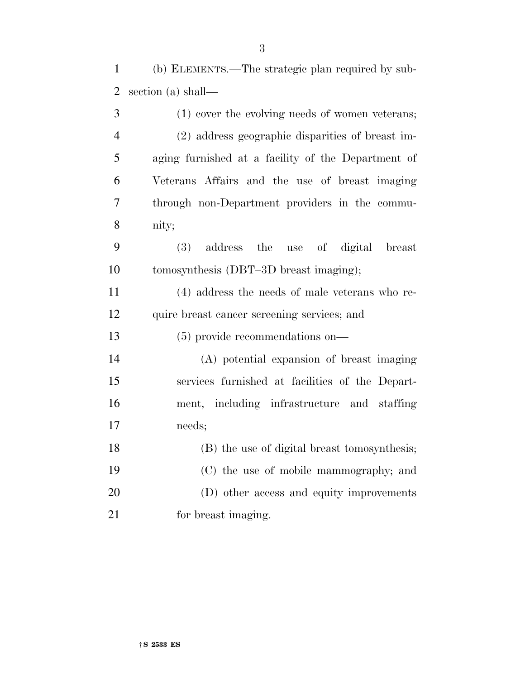(b) ELEMENTS.—The strategic plan required by sub-section (a) shall—

| 3              | (1) cover the evolving needs of women veterans;    |
|----------------|----------------------------------------------------|
| $\overline{4}$ | (2) address geographic disparities of breast im-   |
| 5              | aging furnished at a facility of the Department of |
| 6              | Veterans Affairs and the use of breast imaging     |
| 7              | through non-Department providers in the commu-     |
| 8              | nity;                                              |
| 9              | address the<br>digital<br>(3)<br>use of<br>breast  |
| 10             | tomosynthesis (DBT-3D breast imaging);             |
| 11             | (4) address the needs of male veterans who re-     |
| 12             | quire breast cancer screening services; and        |
| 13             | $(5)$ provide recommendations on—                  |
| 14             | (A) potential expansion of breast imaging          |
| 15             | services furnished at facilities of the Depart-    |
| 16             | ment, including infrastructure and staffing        |
| 17             | needs;                                             |
| 18             | (B) the use of digital breast tomosynthesis;       |
| 19             | (C) the use of mobile mammography; and             |
| 20             | (D) other access and equity improvements           |
| 21             | for breast imaging.                                |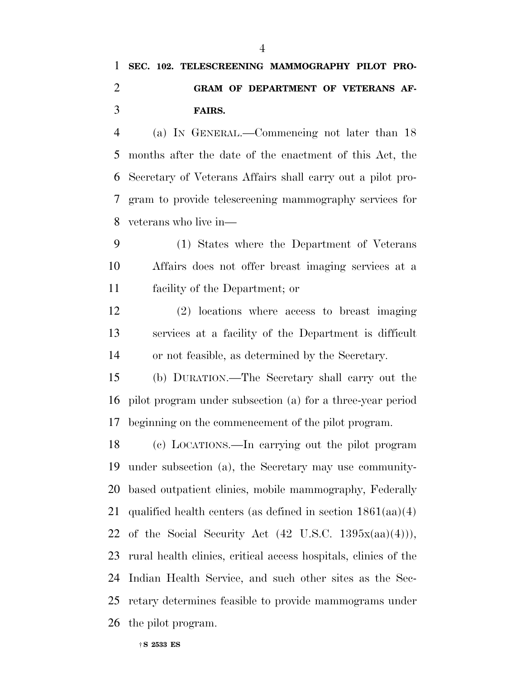## **SEC. 102. TELESCREENING MAMMOGRAPHY PILOT PRO- GRAM OF DEPARTMENT OF VETERANS AF-FAIRS.**

 (a) IN GENERAL.—Commencing not later than 18 months after the date of the enactment of this Act, the Secretary of Veterans Affairs shall carry out a pilot pro- gram to provide telescreening mammography services for veterans who live in—

 (1) States where the Department of Veterans Affairs does not offer breast imaging services at a facility of the Department; or

 (2) locations where access to breast imaging services at a facility of the Department is difficult or not feasible, as determined by the Secretary.

 (b) DURATION.—The Secretary shall carry out the pilot program under subsection (a) for a three-year period beginning on the commencement of the pilot program.

 (c) LOCATIONS.—In carrying out the pilot program under subsection (a), the Secretary may use community- based outpatient clinics, mobile mammography, Federally qualified health centers (as defined in section 1861(aa)(4) 22 of the Social Security Act  $(42 \text{ U.S.C. } 1395x(aa)(4))),$  rural health clinics, critical access hospitals, clinics of the Indian Health Service, and such other sites as the Sec- retary determines feasible to provide mammograms under the pilot program.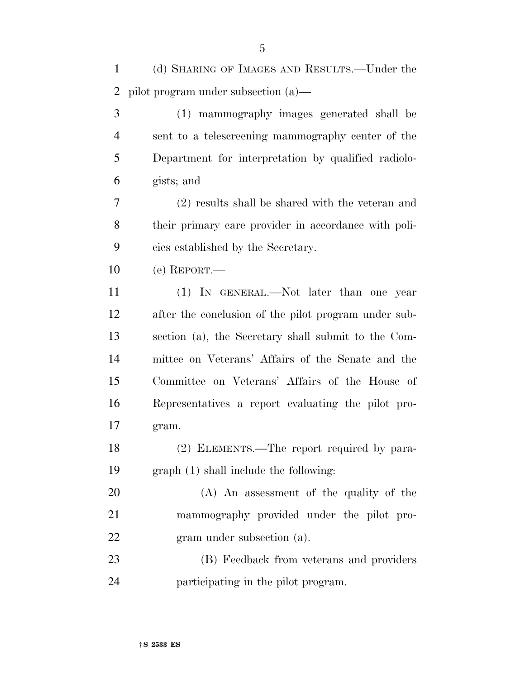| $\mathbf{1}$   | (d) SHARING OF IMAGES AND RESULTS.—Under the         |
|----------------|------------------------------------------------------|
| 2              | pilot program under subsection $(a)$ —               |
| 3              | (1) mammography images generated shall be            |
| $\overline{4}$ | sent to a telescreening mammography center of the    |
| 5              | Department for interpretation by qualified radiolo-  |
| 6              | gists; and                                           |
| 7              | (2) results shall be shared with the veteran and     |
| 8              | their primary care provider in accordance with poli- |
| 9              | cies established by the Secretary.                   |
| 10             | $(e)$ REPORT.—                                       |
| 11             | (1) IN GENERAL.—Not later than one year              |
| 12             | after the conclusion of the pilot program under sub- |
| 13             | section (a), the Secretary shall submit to the Com-  |
| 14             | mittee on Veterans' Affairs of the Senate and the    |
| 15             | Committee on Veterans' Affairs of the House of       |
| 16             | Representatives a report evaluating the pilot pro-   |
| 17             | gram.                                                |
| 18             | (2) ELEMENTS.—The report required by para-           |
| 19             | graph (1) shall include the following:               |
| 20             | (A) An assessment of the quality of the              |
| 21             | mammography provided under the pilot pro-            |
| 22             | gram under subsection (a).                           |
| 23             | (B) Feedback from veterans and providers             |
| 24             | participating in the pilot program.                  |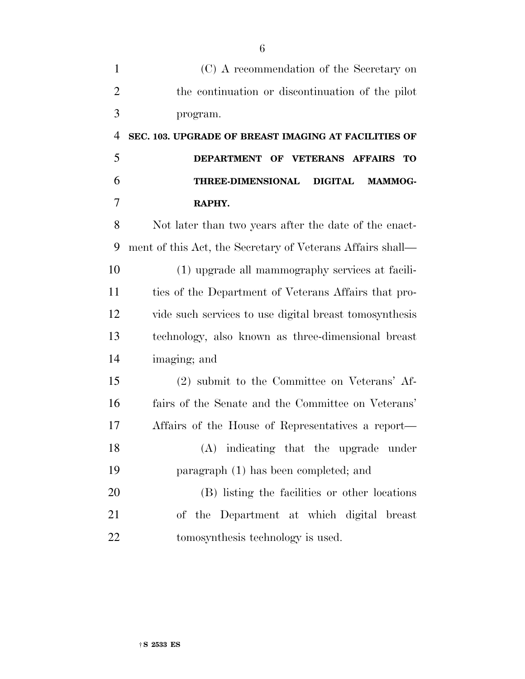| (C) A recommendation of the Secretary on                     |
|--------------------------------------------------------------|
| the continuation or discontinuation of the pilot             |
| program.                                                     |
| SEC. 103. UPGRADE OF BREAST IMAGING AT FACILITIES OF         |
| DEPARTMENT OF VETERANS AFFAIRS<br>TO                         |
| <b>THREE-DIMENSIONAL</b><br><b>DIGITAL</b><br><b>MAMMOG-</b> |
| RAPHY.                                                       |
| Not later than two years after the date of the enact-        |
| ment of this Act, the Secretary of Veterans Affairs shall—   |
| (1) upgrade all mammography services at facili-              |
| ties of the Department of Veterans Affairs that pro-         |
| vide such services to use digital breast tomosynthesis       |
| technology, also known as three-dimensional breast           |
| imaging; and                                                 |
| (2) submit to the Committee on Veterans' Af-                 |
| fairs of the Senate and the Committee on Veterans'           |
| Affairs of the House of Representatives a report—            |
| (A) indicating that the upgrade under                        |
| paragraph (1) has been completed; and                        |
| (B) listing the facilities or other locations                |
| of the Department at which digital breast                    |
| tomosynthesis technology is used.                            |
|                                                              |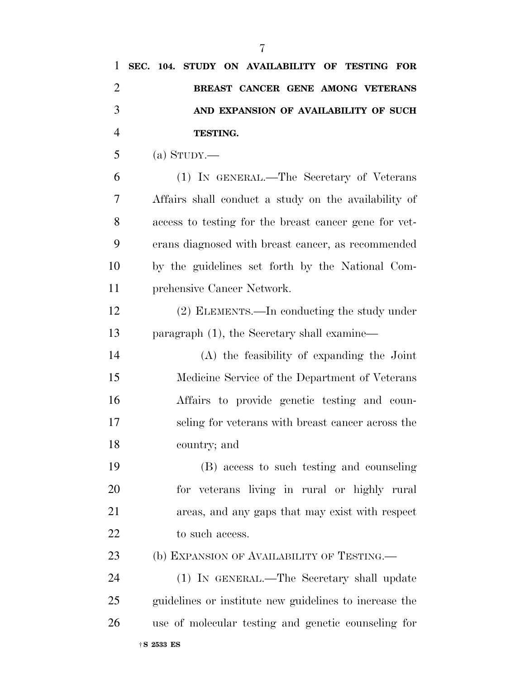| 1              | SEC. 104. STUDY ON AVAILABILITY OF TESTING FOR         |
|----------------|--------------------------------------------------------|
| $\overline{2}$ | BREAST CANCER GENE AMONG VETERANS                      |
| 3              | AND EXPANSION OF AVAILABILITY OF SUCH                  |
| $\overline{4}$ | TESTING.                                               |
| 5              | (a) STUDY.—                                            |
| 6              | (1) IN GENERAL.—The Secretary of Veterans              |
| 7              | Affairs shall conduct a study on the availability of   |
| 8              | access to testing for the breast cancer gene for vet-  |
| 9              | erans diagnosed with breast cancer, as recommended     |
| 10             | by the guidelines set forth by the National Com-       |
| 11             | prehensive Cancer Network.                             |
| 12             | (2) ELEMENTS.—In conducting the study under            |
| 13             | paragraph $(1)$ , the Secretary shall examine—         |
| 14             | (A) the feasibility of expanding the Joint             |
| 15             | Medicine Service of the Department of Veterans         |
| 16             | Affairs to provide genetic testing and coun-           |
| 17             | seling for veterans with breast cancer across the      |
| 18             | country; and                                           |
| 19             | (B) access to such testing and counseling              |
| 20             | for veterans living in rural or highly rural           |
| 21             | areas, and any gaps that may exist with respect        |
| 22             | to such access.                                        |
| 23             | (b) EXPANSION OF AVAILABILITY OF TESTING.—             |
| 24             | (1) IN GENERAL.—The Secretary shall update             |
| 25             | guidelines or institute new guidelines to increase the |
| 26             | use of molecular testing and genetic counseling for    |
|                |                                                        |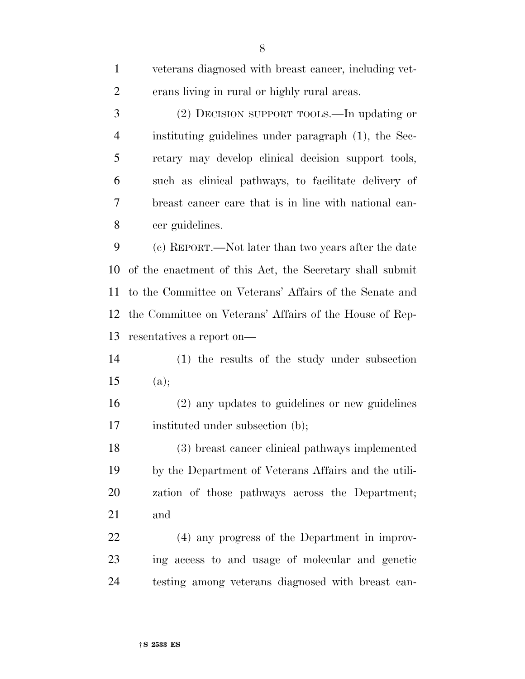| $\mathbf{1}$   | veterans diagnosed with breast cancer, including vet-    |
|----------------|----------------------------------------------------------|
| $\overline{c}$ | erans living in rural or highly rural areas.             |
| 3              | (2) DECISION SUPPORT TOOLS.—In updating or               |
| $\overline{4}$ | instituting guidelines under paragraph (1), the Sec-     |
| 5              | retary may develop clinical decision support tools,      |
| 6              | such as clinical pathways, to facilitate delivery of     |
| 7              | breast cancer care that is in line with national can-    |
| 8              | cer guidelines.                                          |
| 9              | (c) REPORT.—Not later than two years after the date      |
| 10             | of the enactment of this Act, the Secretary shall submit |
| 11             | to the Committee on Veterans' Affairs of the Senate and  |
| 12             | the Committee on Veterans' Affairs of the House of Rep-  |
| 13             | resentatives a report on—                                |
| 14             | (1) the results of the study under subsection            |
| 15             | (a);                                                     |
| 16             | (2) any updates to guidelines or new guidelines          |
| 17             | instituted under subsection (b);                         |
| 18             | (3) breast cancer clinical pathways implemented          |
| 19             | by the Department of Veterans Affairs and the utili-     |
| 20             | zation of those pathways across the Department;          |
| 21             | and                                                      |
| 22             |                                                          |
|                | (4) any progress of the Department in improv-            |
| 23             | ing access to and usage of molecular and genetic         |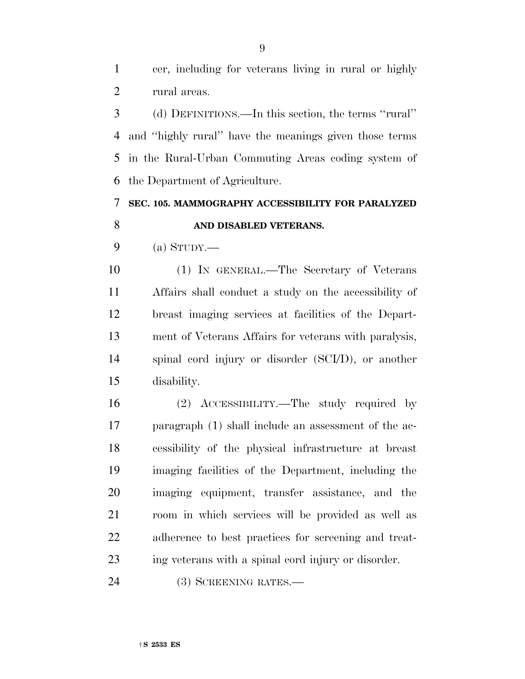cer, including for veterans living in rural or highly rural areas.

 (d) DEFINITIONS.—In this section, the terms ''rural'' and ''highly rural'' have the meanings given those terms in the Rural-Urban Commuting Areas coding system of the Department of Agriculture.

### **SEC. 105. MAMMOGRAPHY ACCESSIBILITY FOR PARALYZED AND DISABLED VETERANS.**

9 (a)  $S_{TUDY}$ —

 (1) IN GENERAL.—The Secretary of Veterans Affairs shall conduct a study on the accessibility of breast imaging services at facilities of the Depart- ment of Veterans Affairs for veterans with paralysis, spinal cord injury or disorder (SCI/D), or another disability.

 (2) ACCESSIBILITY.—The study required by paragraph (1) shall include an assessment of the ac- cessibility of the physical infrastructure at breast imaging facilities of the Department, including the imaging equipment, transfer assistance, and the room in which services will be provided as well as adherence to best practices for screening and treat-ing veterans with a spinal cord injury or disorder.

(3) SCREENING RATES.—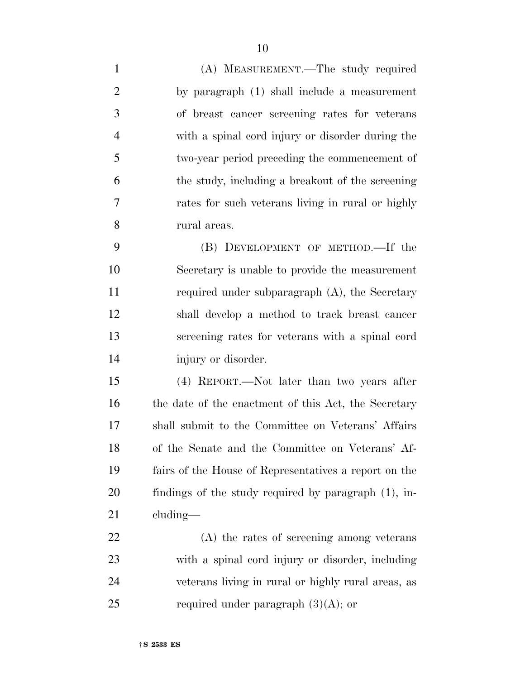(A) MEASUREMENT.—The study required by paragraph (1) shall include a measurement of breast cancer screening rates for veterans with a spinal cord injury or disorder during the two-year period preceding the commencement of the study, including a breakout of the screening rates for such veterans living in rural or highly rural areas. (B) DEVELOPMENT OF METHOD.—If the Secretary is unable to provide the measurement 11 required under subparagraph (A), the Secretary shall develop a method to track breast cancer screening rates for veterans with a spinal cord injury or disorder.

 (4) REPORT.—Not later than two years after 16 the date of the enactment of this Act, the Secretary shall submit to the Committee on Veterans' Affairs of the Senate and the Committee on Veterans' Af- fairs of the House of Representatives a report on the findings of the study required by paragraph (1), in-cluding—

 (A) the rates of screening among veterans with a spinal cord injury or disorder, including veterans living in rural or highly rural areas, as 25 required under paragraph  $(3)(A)$ ; or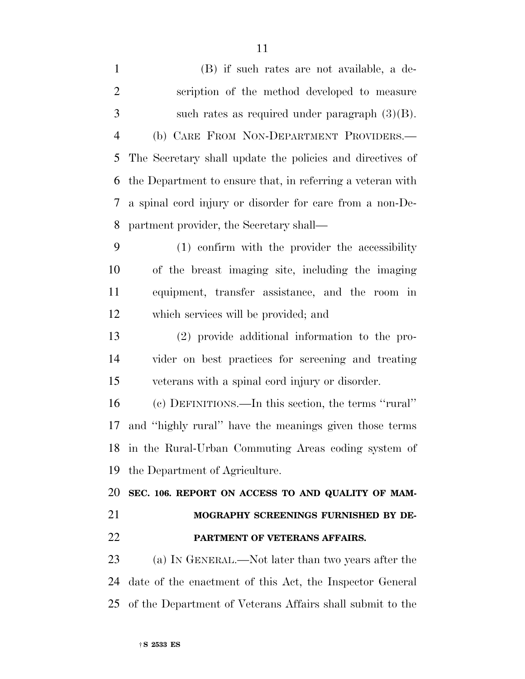| $\mathbf{1}$   | (B) if such rates are not available, a de-                 |
|----------------|------------------------------------------------------------|
| $\overline{2}$ | scription of the method developed to measure               |
| $\mathfrak{Z}$ | such rates as required under paragraph $(3)(B)$ .          |
| $\overline{4}$ | (b) CARE FROM NON-DEPARTMENT PROVIDERS.—                   |
| 5              | The Secretary shall update the policies and directives of  |
| 6              | the Department to ensure that, in referring a veteran with |
| 7              | a spinal cord injury or disorder for care from a non-De-   |
| 8              | partment provider, the Secretary shall—                    |
| 9              | (1) confirm with the provider the accessibility            |
| 10             | of the breast imaging site, including the imaging          |
| 11             | equipment, transfer assistance, and the room in            |
| 12             | which services will be provided; and                       |
| 13             | (2) provide additional information to the pro-             |
| 14             | vider on best practices for screening and treating         |
| 15             | veterans with a spinal cord injury or disorder.            |
| 16             | (c) DEFINITIONS.—In this section, the terms "rural"        |
| 17             | and "highly rural" have the meanings given those terms     |
|                | 18 in the Rural-Urban Commuting Areas coding system of     |
| 19             | the Department of Agriculture.                             |
| 20             | SEC. 106. REPORT ON ACCESS TO AND QUALITY OF MAM-          |
| 21             | MOGRAPHY SCREENINGS FURNISHED BY DE-                       |
| 22             | PARTMENT OF VETERANS AFFAIRS.                              |
| 23             | (a) IN GENERAL.—Not later than two years after the         |
| 24             | date of the enactment of this Act, the Inspector General   |
| 25             | of the Department of Veterans Affairs shall submit to the  |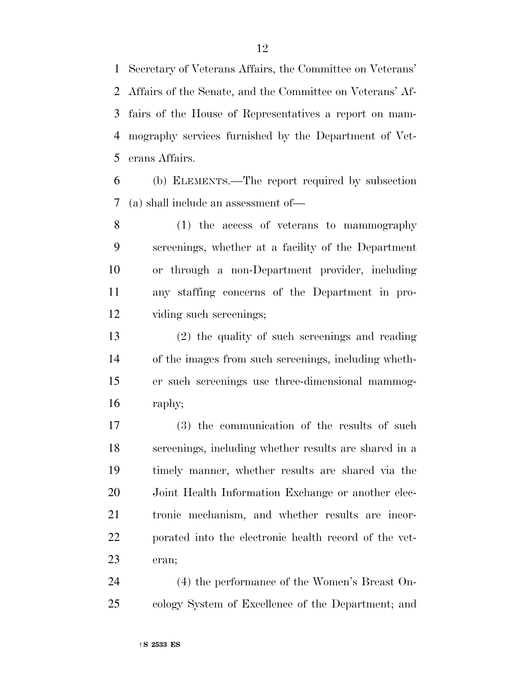Secretary of Veterans Affairs, the Committee on Veterans' Affairs of the Senate, and the Committee on Veterans' Af- fairs of the House of Representatives a report on mam- mography services furnished by the Department of Vet-erans Affairs.

 (b) ELEMENTS.—The report required by subsection (a) shall include an assessment of—

 (1) the access of veterans to mammography screenings, whether at a facility of the Department or through a non-Department provider, including any staffing concerns of the Department in pro-viding such screenings;

 (2) the quality of such screenings and reading of the images from such screenings, including wheth- er such screenings use three-dimensional mammog-raphy;

 (3) the communication of the results of such screenings, including whether results are shared in a timely manner, whether results are shared via the Joint Health Information Exchange or another elec- tronic mechanism, and whether results are incor- porated into the electronic health record of the vet-eran;

 (4) the performance of the Women's Breast On-cology System of Excellence of the Department; and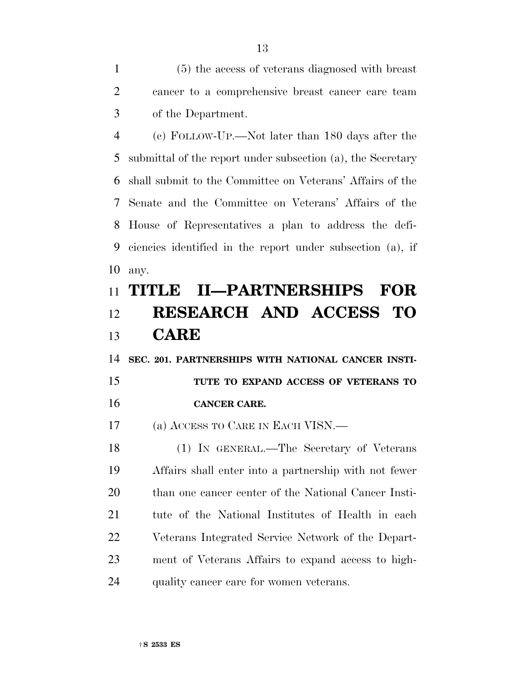(5) the access of veterans diagnosed with breast cancer to a comprehensive breast cancer care team of the Department.

 (c) FOLLOW-UP.—Not later than 180 days after the submittal of the report under subsection (a), the Secretary shall submit to the Committee on Veterans' Affairs of the Senate and the Committee on Veterans' Affairs of the House of Representatives a plan to address the defi- ciencies identified in the report under subsection (a), if any.

## **TITLE II—PARTNERSHIPS FOR RESEARCH AND ACCESS TO CARE**

**SEC. 201. PARTNERSHIPS WITH NATIONAL CANCER INSTI-**

 **TUTE TO EXPAND ACCESS OF VETERANS TO CANCER CARE.** 

(a) ACCESS TO CARE IN EACH VISN.—

 (1) IN GENERAL.—The Secretary of Veterans Affairs shall enter into a partnership with not fewer 20 than one cancer center of the National Cancer Insti- tute of the National Institutes of Health in each Veterans Integrated Service Network of the Depart- ment of Veterans Affairs to expand access to high-quality cancer care for women veterans.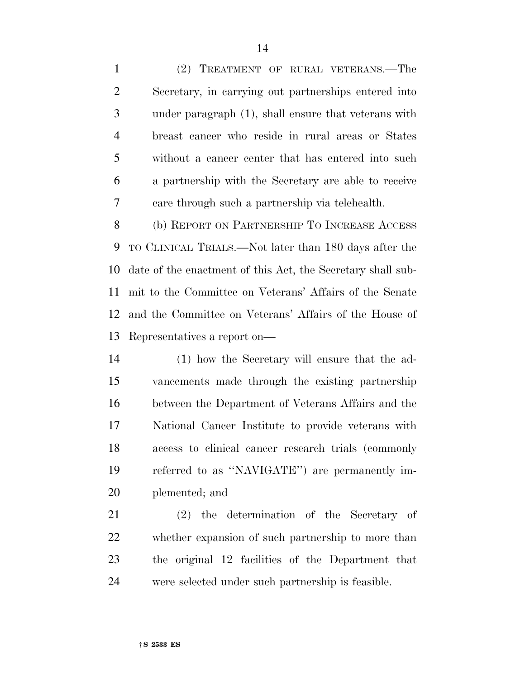(2) TREATMENT OF RURAL VETERANS.—The Secretary, in carrying out partnerships entered into under paragraph (1), shall ensure that veterans with breast cancer who reside in rural areas or States without a cancer center that has entered into such a partnership with the Secretary are able to receive care through such a partnership via telehealth.

 (b) REPORT ON PARTNERSHIP TO INCREASE ACCESS TO CLINICAL TRIALS.—Not later than 180 days after the date of the enactment of this Act, the Secretary shall sub- mit to the Committee on Veterans' Affairs of the Senate and the Committee on Veterans' Affairs of the House of Representatives a report on—

 (1) how the Secretary will ensure that the ad- vancements made through the existing partnership between the Department of Veterans Affairs and the National Cancer Institute to provide veterans with access to clinical cancer research trials (commonly referred to as ''NAVIGATE'') are permanently im-plemented; and

 (2) the determination of the Secretary of whether expansion of such partnership to more than the original 12 facilities of the Department that were selected under such partnership is feasible.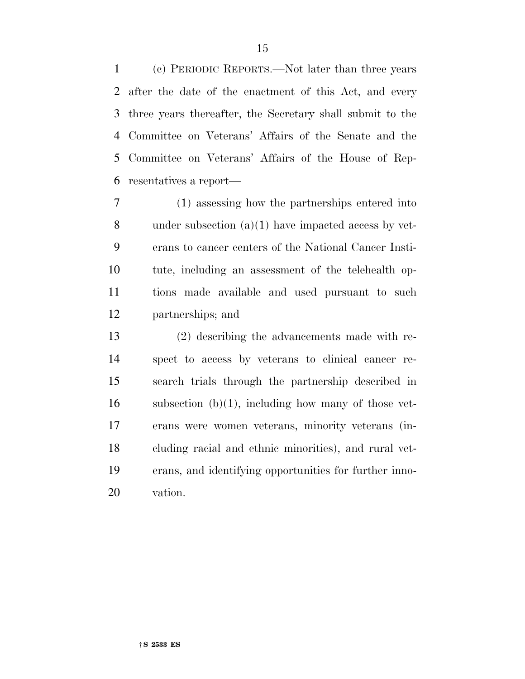(c) PERIODIC REPORTS.—Not later than three years after the date of the enactment of this Act, and every three years thereafter, the Secretary shall submit to the Committee on Veterans' Affairs of the Senate and the Committee on Veterans' Affairs of the House of Rep-resentatives a report—

 (1) assessing how the partnerships entered into under subsection (a)(1) have impacted access by vet- erans to cancer centers of the National Cancer Insti- tute, including an assessment of the telehealth op- tions made available and used pursuant to such partnerships; and

 (2) describing the advancements made with re- spect to access by veterans to clinical cancer re- search trials through the partnership described in subsection  $(b)(1)$ , including how many of those vet- erans were women veterans, minority veterans (in- cluding racial and ethnic minorities), and rural vet- erans, and identifying opportunities for further inno-vation.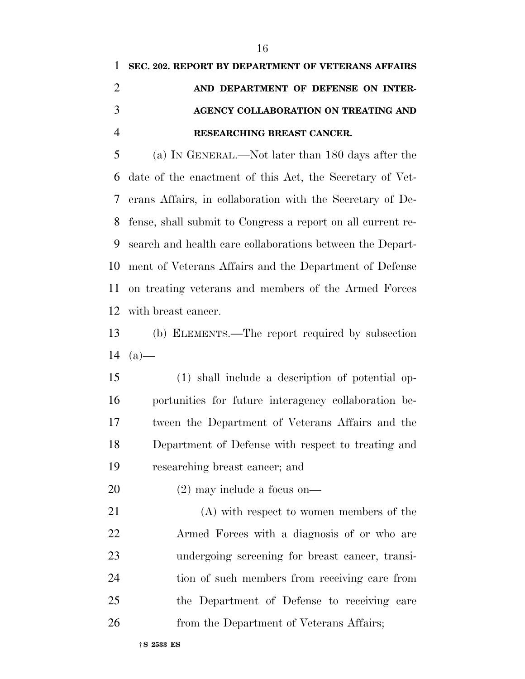(a) IN GENERAL.—Not later than 180 days after the date of the enactment of this Act, the Secretary of Vet- erans Affairs, in collaboration with the Secretary of De- fense, shall submit to Congress a report on all current re- search and health care collaborations between the Depart- ment of Veterans Affairs and the Department of Defense on treating veterans and members of the Armed Forces with breast cancer.

 (b) ELEMENTS.—The report required by subsection 14  $(a)$ —

 (1) shall include a description of potential op- portunities for future interagency collaboration be- tween the Department of Veterans Affairs and the Department of Defense with respect to treating and researching breast cancer; and

(2) may include a focus on—

 (A) with respect to women members of the Armed Forces with a diagnosis of or who are undergoing screening for breast cancer, transi- tion of such members from receiving care from the Department of Defense to receiving care 26 from the Department of Veterans Affairs;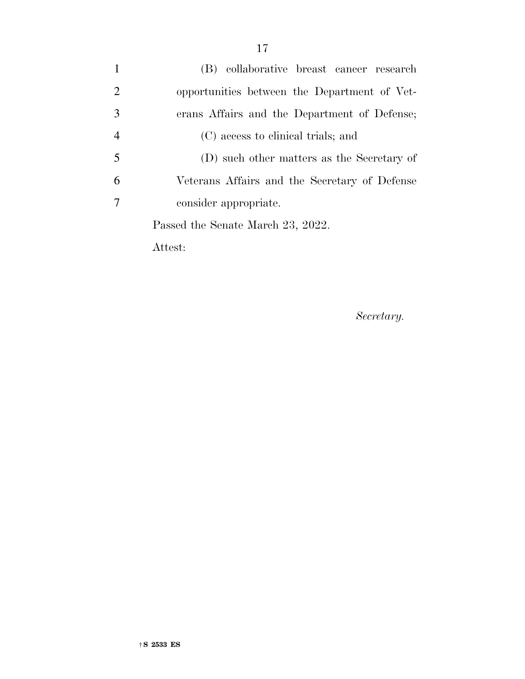| $\mathbf{1}$   | (B) collaborative breast cancer research      |
|----------------|-----------------------------------------------|
| $\overline{2}$ | opportunities between the Department of Vet-  |
| 3              | erans Affairs and the Department of Defense;  |
| $\overline{4}$ | (C) access to clinical trials; and            |
| 5              | (D) such other matters as the Secretary of    |
| 6              | Veterans Affairs and the Secretary of Defense |
| 7              | consider appropriate.                         |
|                | Passed the Senate March 23, 2022.             |
|                |                                               |

Attest:

*Secretary.*